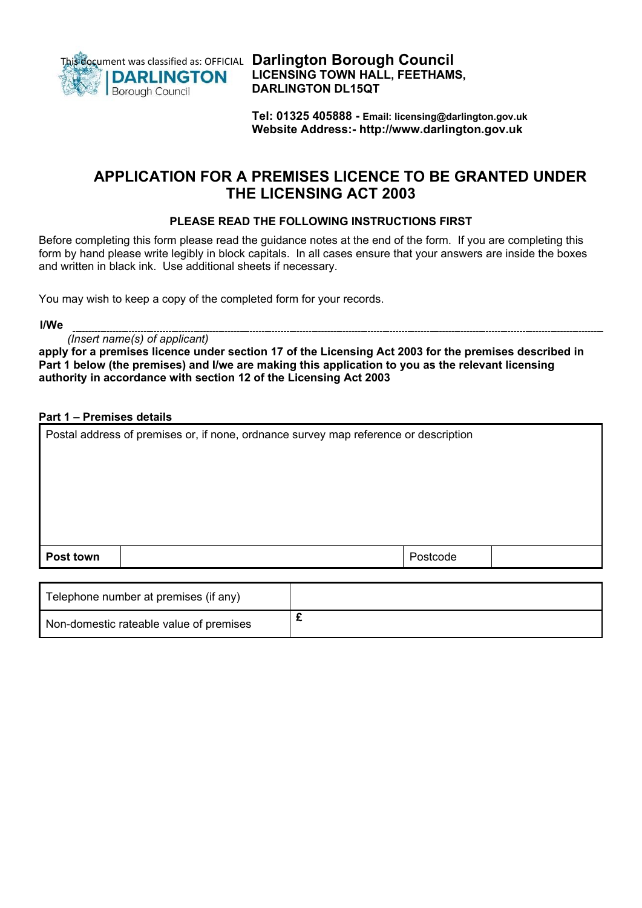

This document was classified as: OFFICIAL **Darlington Borough Council LICENSING TOWN HALL, FEETHAMS, DARLINGTON DL15QT**

> **Tel: 01325 405888 - Email: licensing@darlington.gov.uk Website Address:- http://www.darlington.gov.uk**

### **APPLICATION FOR A PREMISES LICENCE TO BE GRANTED UNDER THE LICENSING ACT 2003**

### **PLEASE READ THE FOLLOWING INSTRUCTIONS FIRST**

Before completing this form please read the guidance notes at the end of the form. If you are completing this form by hand please write legibly in block capitals. In all cases ensure that your answers are inside the boxes and written in black ink. Use additional sheets if necessary.

You may wish to keep a copy of the completed form for your records.

**I/We**

*(Insert name(s) of applicant)*

**apply for a premises licence under section 17 of the Licensing Act 2003 for the premises described in Part 1 below (the premises) and I/we are making this application to you as the relevant licensing authority in accordance with section 12 of the Licensing Act 2003**

#### **Part 1 – Premises details**

| Postal address of premises or, if none, ordnance survey map reference or description |  |  |  |  |  |  |  |
|--------------------------------------------------------------------------------------|--|--|--|--|--|--|--|
|                                                                                      |  |  |  |  |  |  |  |
|                                                                                      |  |  |  |  |  |  |  |
|                                                                                      |  |  |  |  |  |  |  |
|                                                                                      |  |  |  |  |  |  |  |
|                                                                                      |  |  |  |  |  |  |  |

|  | Post town |  | .<br>coole |  |
|--|-----------|--|------------|--|
|--|-----------|--|------------|--|

| Telephone number at premises (if any)   |  |
|-----------------------------------------|--|
| Non-domestic rateable value of premises |  |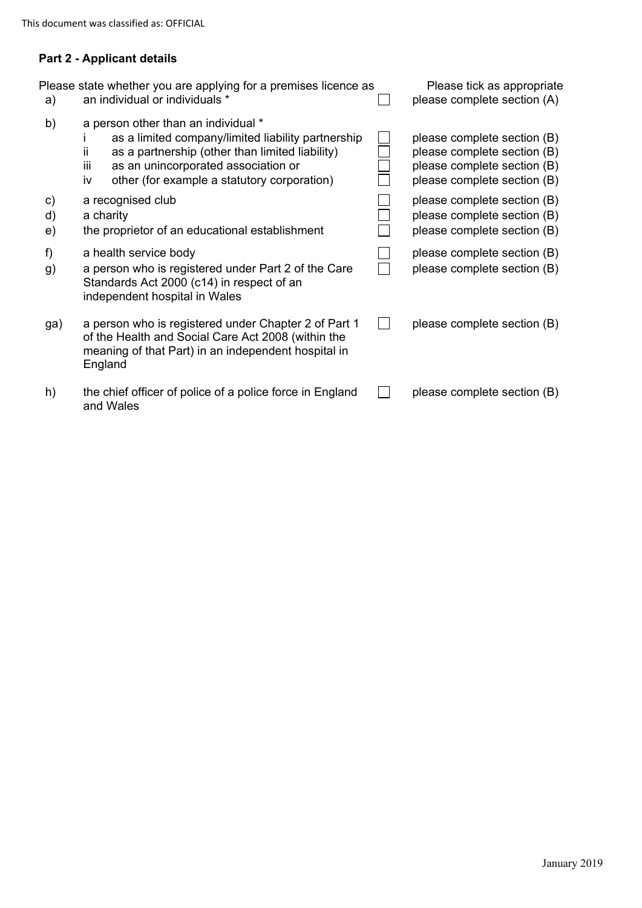### **Part 2 - Applicant details**

| a)                                 | Please state whether you are applying for a premises licence as<br>an individual or individuals *                                                                                                                                                      | Please tick as appropriate<br>please complete section (A)                                                                |
|------------------------------------|--------------------------------------------------------------------------------------------------------------------------------------------------------------------------------------------------------------------------------------------------------|--------------------------------------------------------------------------------------------------------------------------|
| b)                                 | a person other than an individual *<br>as a limited company/limited liability partnership<br>as a partnership (other than limited liability)<br>ii.<br>as an unincorporated association or<br>Ϊij<br>other (for example a statutory corporation)<br>iv | please complete section (B)<br>please complete section (B)<br>please complete section (B)<br>please complete section (B) |
| $\mathsf{c})$<br>d)<br>$\epsilon)$ | a recognised club<br>a charity<br>the proprietor of an educational establishment                                                                                                                                                                       | please complete section (B)<br>please complete section (B)<br>please complete section (B)                                |
| f)<br>g)                           | a health service body<br>a person who is registered under Part 2 of the Care<br>Standards Act 2000 (c14) in respect of an<br>independent hospital in Wales                                                                                             | please complete section (B)<br>please complete section (B)                                                               |
| ga)                                | a person who is registered under Chapter 2 of Part 1<br>of the Health and Social Care Act 2008 (within the<br>meaning of that Part) in an independent hospital in<br>England                                                                           | please complete section (B)                                                                                              |
| h)                                 | the chief officer of police of a police force in England<br>and Wales                                                                                                                                                                                  | please complete section (B)                                                                                              |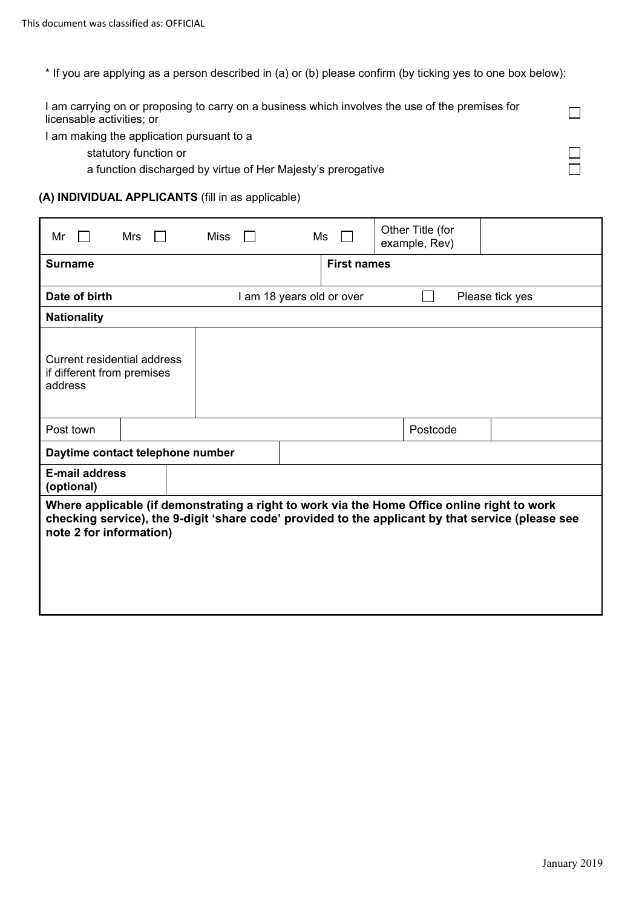\* If you are applying as a person described in (a) or (b) please confirm (by ticking yes to one box below):

| licensable activities; or |  |  | I am carrying on or proposing to carry on a business which involves the use of the premises for |  |  |  |
|---------------------------|--|--|-------------------------------------------------------------------------------------------------|--|--|--|
|                           |  |  |                                                                                                 |  |  |  |

I am making the application pursuant to a

statutory function or

a function discharged by virtue of Her Majesty's prerogative

#### **(A) INDIVIDUAL APPLICANTS** (fill in as applicable)

| Mr                                                                          | Mrs | Miss | Ms                        |                    | Other Title (for<br>example, Rev)                                                                                                                                                                |                 |
|-----------------------------------------------------------------------------|-----|------|---------------------------|--------------------|--------------------------------------------------------------------------------------------------------------------------------------------------------------------------------------------------|-----------------|
| <b>Surname</b>                                                              |     |      |                           | <b>First names</b> |                                                                                                                                                                                                  |                 |
| Date of birth                                                               |     |      | I am 18 years old or over |                    |                                                                                                                                                                                                  | Please tick yes |
| <b>Nationality</b>                                                          |     |      |                           |                    |                                                                                                                                                                                                  |                 |
| <b>Current residential address</b><br>if different from premises<br>address |     |      |                           |                    |                                                                                                                                                                                                  |                 |
| Post town                                                                   |     |      |                           |                    | Postcode                                                                                                                                                                                         |                 |
| Daytime contact telephone number                                            |     |      |                           |                    |                                                                                                                                                                                                  |                 |
| <b>E-mail address</b><br>(optional)                                         |     |      |                           |                    |                                                                                                                                                                                                  |                 |
| note 2 for information)                                                     |     |      |                           |                    | Where applicable (if demonstrating a right to work via the Home Office online right to work<br>checking service), the 9-digit 'share code' provided to the applicant by that service (please see |                 |

 $\begin{array}{c} \square \\ \square \end{array}$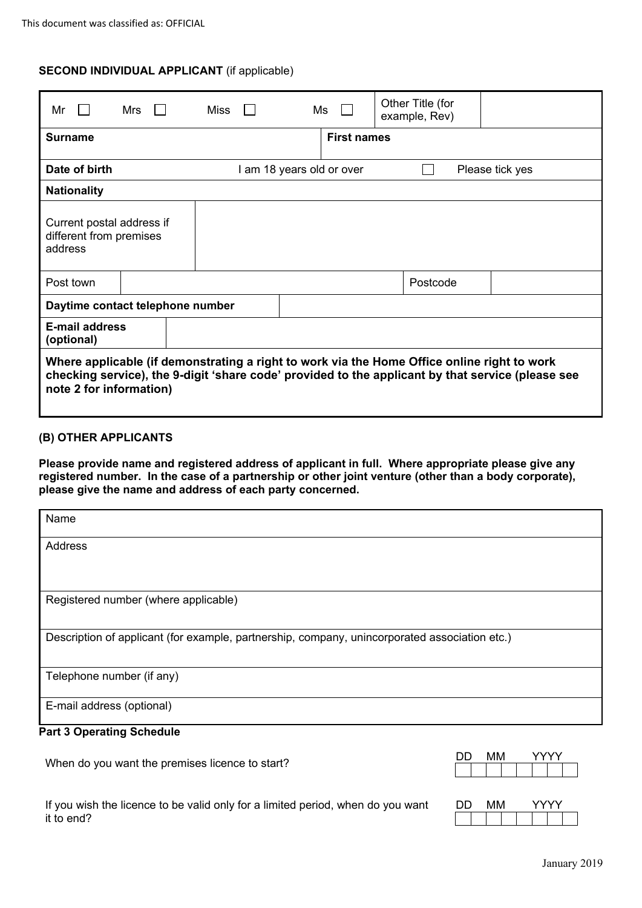#### **SECOND INDIVIDUAL APPLICANT** (if applicable)

| Mr                                                                                                                                                                                                                          | Mrs | $\mathbf{1}$ | Miss |  | Ms                        |                    | Other Title (for<br>example, Rev) |                 |
|-----------------------------------------------------------------------------------------------------------------------------------------------------------------------------------------------------------------------------|-----|--------------|------|--|---------------------------|--------------------|-----------------------------------|-----------------|
| <b>Surname</b>                                                                                                                                                                                                              |     |              |      |  |                           | <b>First names</b> |                                   |                 |
| Date of birth                                                                                                                                                                                                               |     |              |      |  | I am 18 years old or over |                    |                                   | Please tick yes |
| <b>Nationality</b>                                                                                                                                                                                                          |     |              |      |  |                           |                    |                                   |                 |
| Current postal address if<br>different from premises<br>address                                                                                                                                                             |     |              |      |  |                           |                    |                                   |                 |
| Post town                                                                                                                                                                                                                   |     |              |      |  |                           |                    | Postcode                          |                 |
| Daytime contact telephone number                                                                                                                                                                                            |     |              |      |  |                           |                    |                                   |                 |
| <b>E-mail address</b><br>(optional)                                                                                                                                                                                         |     |              |      |  |                           |                    |                                   |                 |
| Where applicable (if demonstrating a right to work via the Home Office online right to work<br>checking service), the 9-digit 'share code' provided to the applicant by that service (please see<br>note 2 for information) |     |              |      |  |                           |                    |                                   |                 |

#### **(B) OTHER APPLICANTS**

**Please provide name and registered address of applicant in full. Where appropriate please give any registered number. In the case of a partnership or other joint venture (other than a body corporate), please give the name and address of each party concerned.**

| Name                                                                                          |
|-----------------------------------------------------------------------------------------------|
| <b>Address</b>                                                                                |
| Registered number (where applicable)                                                          |
| Description of applicant (for example, partnership, company, unincorporated association etc.) |
| Telephone number (if any)                                                                     |
| E-mail address (optional)                                                                     |

#### **Part 3 Operating Schedule**

When do you want the premises licence to start?

| If you wish the licence to be valid only for a limited period, when do you want |  |  |  |
|---------------------------------------------------------------------------------|--|--|--|
| it to end?                                                                      |  |  |  |

| ו וו | мм |  | ヽハハハノ |  |  |  |  |
|------|----|--|-------|--|--|--|--|
|      |    |  |       |  |  |  |  |

| 1 H ) . |  |  | M | <b>\/\/\/\/</b> |  |
|---------|--|--|---|-----------------|--|
|         |  |  |   |                 |  |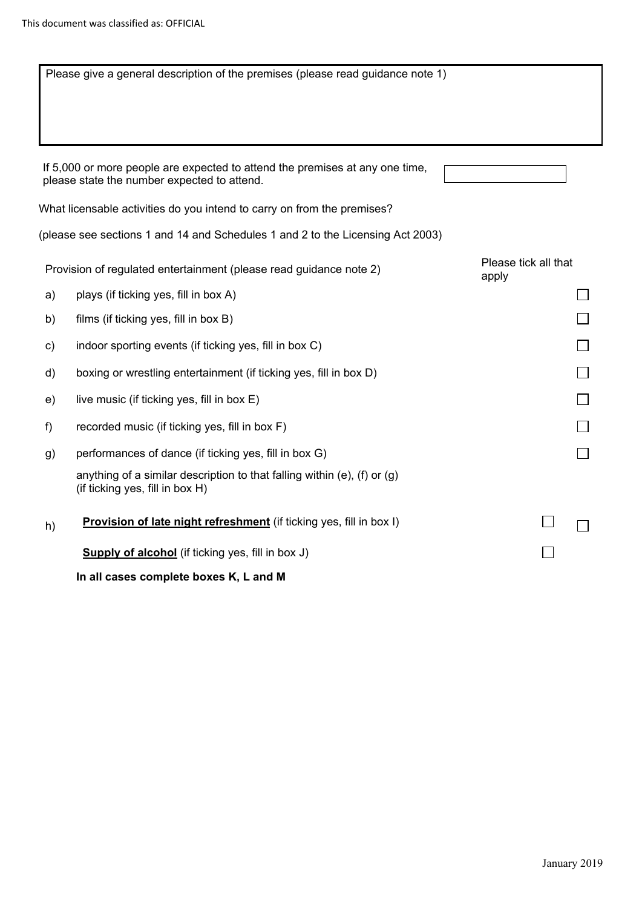| Please give a general description of the premises (please read guidance note 1) |                                                                                                                             |                               |  |  |  |  |  |
|---------------------------------------------------------------------------------|-----------------------------------------------------------------------------------------------------------------------------|-------------------------------|--|--|--|--|--|
|                                                                                 |                                                                                                                             |                               |  |  |  |  |  |
|                                                                                 | If 5,000 or more people are expected to attend the premises at any one time,<br>please state the number expected to attend. |                               |  |  |  |  |  |
|                                                                                 | What licensable activities do you intend to carry on from the premises?                                                     |                               |  |  |  |  |  |
|                                                                                 | (please see sections 1 and 14 and Schedules 1 and 2 to the Licensing Act 2003)                                              |                               |  |  |  |  |  |
|                                                                                 | Provision of regulated entertainment (please read guidance note 2)                                                          | Please tick all that<br>apply |  |  |  |  |  |
| a)                                                                              | plays (if ticking yes, fill in box A)                                                                                       |                               |  |  |  |  |  |
| b)                                                                              | films (if ticking yes, fill in box B)                                                                                       |                               |  |  |  |  |  |
| c)                                                                              | indoor sporting events (if ticking yes, fill in box C)                                                                      |                               |  |  |  |  |  |
| d)                                                                              | boxing or wrestling entertainment (if ticking yes, fill in box D)                                                           |                               |  |  |  |  |  |
| e)                                                                              | live music (if ticking yes, fill in box E)                                                                                  |                               |  |  |  |  |  |
| f)                                                                              | recorded music (if ticking yes, fill in box F)                                                                              |                               |  |  |  |  |  |
| g)                                                                              | performances of dance (if ticking yes, fill in box G)                                                                       |                               |  |  |  |  |  |
|                                                                                 | anything of a similar description to that falling within (e), (f) or $(q)$<br>(if ticking yes, fill in box H)               |                               |  |  |  |  |  |
| h)                                                                              | Provision of late night refreshment (if ticking yes, fill in box I)                                                         |                               |  |  |  |  |  |
|                                                                                 | <b>Supply of alcohol</b> (if ticking yes, fill in box J)                                                                    |                               |  |  |  |  |  |
|                                                                                 | In all cases complete boxes K, L and M                                                                                      |                               |  |  |  |  |  |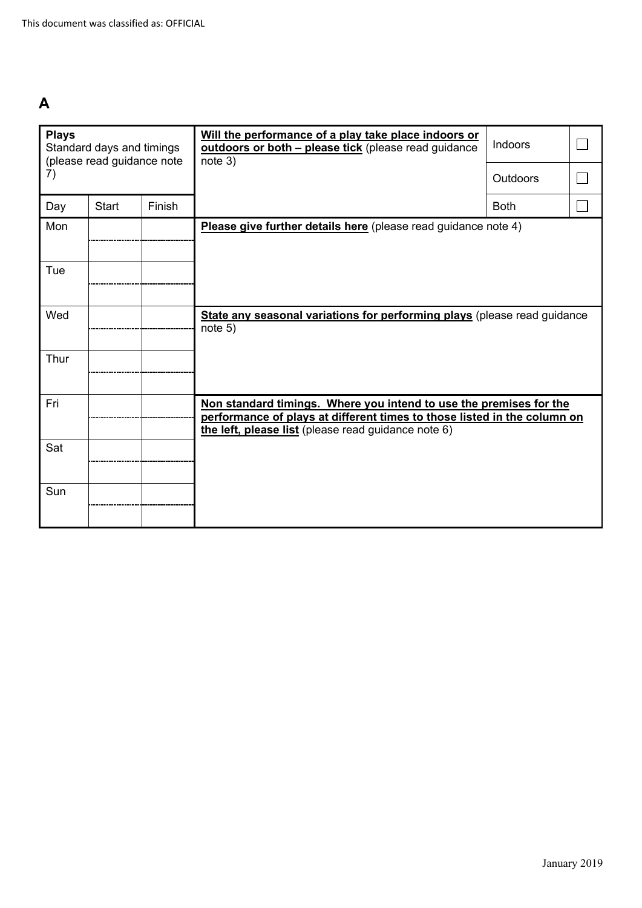# **A**

| <b>Plays</b> | Standard days and timings<br>(please read guidance note |        | Will the performance of a play take place indoors or<br>outdoors or both - please tick (please read guidance<br>note 3)                                                                               | Indoors         |  |
|--------------|---------------------------------------------------------|--------|-------------------------------------------------------------------------------------------------------------------------------------------------------------------------------------------------------|-----------------|--|
| 7)           |                                                         |        |                                                                                                                                                                                                       | <b>Outdoors</b> |  |
| Day          | <b>Start</b>                                            | Finish |                                                                                                                                                                                                       | <b>Both</b>     |  |
| Mon          |                                                         |        | Please give further details here (please read guidance note 4)                                                                                                                                        |                 |  |
| Tue          |                                                         |        |                                                                                                                                                                                                       |                 |  |
| Wed          |                                                         |        | State any seasonal variations for performing plays (please read guidance<br>note 5)                                                                                                                   |                 |  |
| Thur         |                                                         |        |                                                                                                                                                                                                       |                 |  |
| Fri          |                                                         |        | Non standard timings. Where you intend to use the premises for the<br>performance of plays at different times to those listed in the column on<br>the left, please list (please read guidance note 6) |                 |  |
| Sat          |                                                         |        |                                                                                                                                                                                                       |                 |  |
| Sun          |                                                         |        |                                                                                                                                                                                                       |                 |  |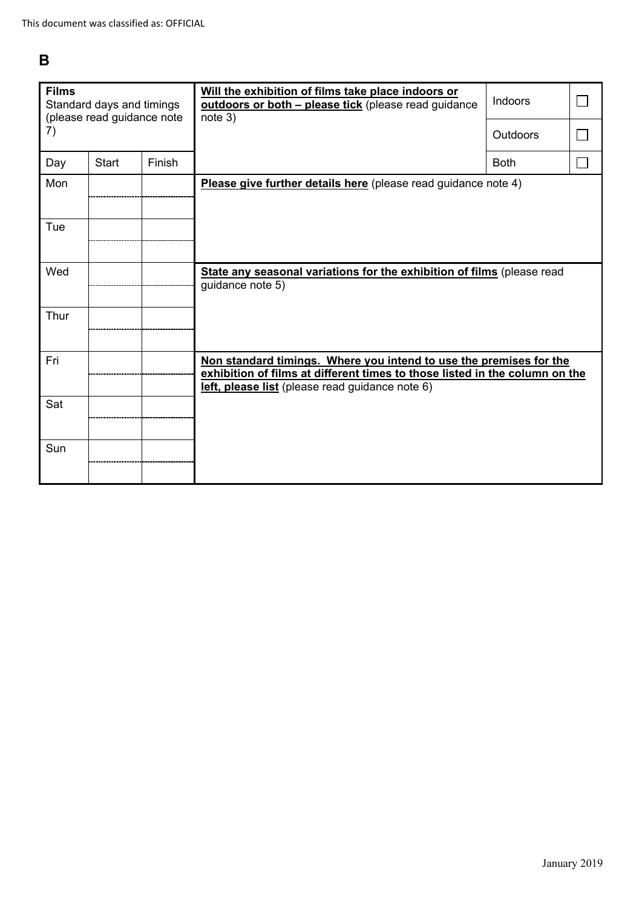# **B**

| <b>Films</b>                                                          | Standard days and timings<br>(please read guidance note |        | Will the exhibition of films take place indoors or<br>outdoors or both - please tick (please read guidance<br>note 3)                                                                                | Indoors         |  |
|-----------------------------------------------------------------------|---------------------------------------------------------|--------|------------------------------------------------------------------------------------------------------------------------------------------------------------------------------------------------------|-----------------|--|
| 7)                                                                    |                                                         |        |                                                                                                                                                                                                      | <b>Outdoors</b> |  |
| Day                                                                   | <b>Start</b>                                            | Finish |                                                                                                                                                                                                      | <b>Both</b>     |  |
| Mon<br>Please give further details here (please read guidance note 4) |                                                         |        |                                                                                                                                                                                                      |                 |  |
| Tue                                                                   |                                                         |        |                                                                                                                                                                                                      |                 |  |
| Wed                                                                   |                                                         |        | State any seasonal variations for the exhibition of films (please read<br>guidance note 5)                                                                                                           |                 |  |
| Thur                                                                  |                                                         |        |                                                                                                                                                                                                      |                 |  |
| Fri                                                                   |                                                         |        | Non standard timings. Where you intend to use the premises for the<br>exhibition of films at different times to those listed in the column on the<br>left, please list (please read guidance note 6) |                 |  |
| Sat                                                                   |                                                         |        |                                                                                                                                                                                                      |                 |  |
| Sun                                                                   |                                                         |        |                                                                                                                                                                                                      |                 |  |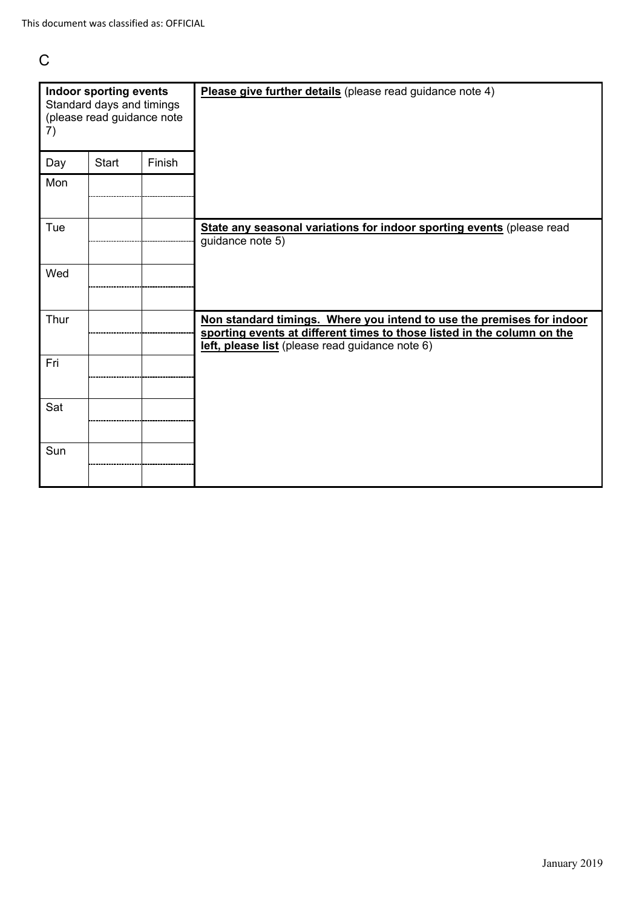# C

| Indoor sporting events<br>Standard days and timings<br>(please read guidance note<br>7) |              |        | Please give further details (please read guidance note 4)                                                                                                                                           |
|-----------------------------------------------------------------------------------------|--------------|--------|-----------------------------------------------------------------------------------------------------------------------------------------------------------------------------------------------------|
| Day                                                                                     | <b>Start</b> | Finish |                                                                                                                                                                                                     |
| Mon                                                                                     |              |        |                                                                                                                                                                                                     |
| Tue                                                                                     |              |        | State any seasonal variations for indoor sporting events (please read<br>guidance note 5)                                                                                                           |
| Wed                                                                                     |              |        |                                                                                                                                                                                                     |
| Thur                                                                                    |              |        | Non standard timings. Where you intend to use the premises for indoor<br>sporting events at different times to those listed in the column on the<br>left, please list (please read guidance note 6) |
| Fri                                                                                     |              |        |                                                                                                                                                                                                     |
| Sat                                                                                     |              |        |                                                                                                                                                                                                     |
| Sun                                                                                     |              |        |                                                                                                                                                                                                     |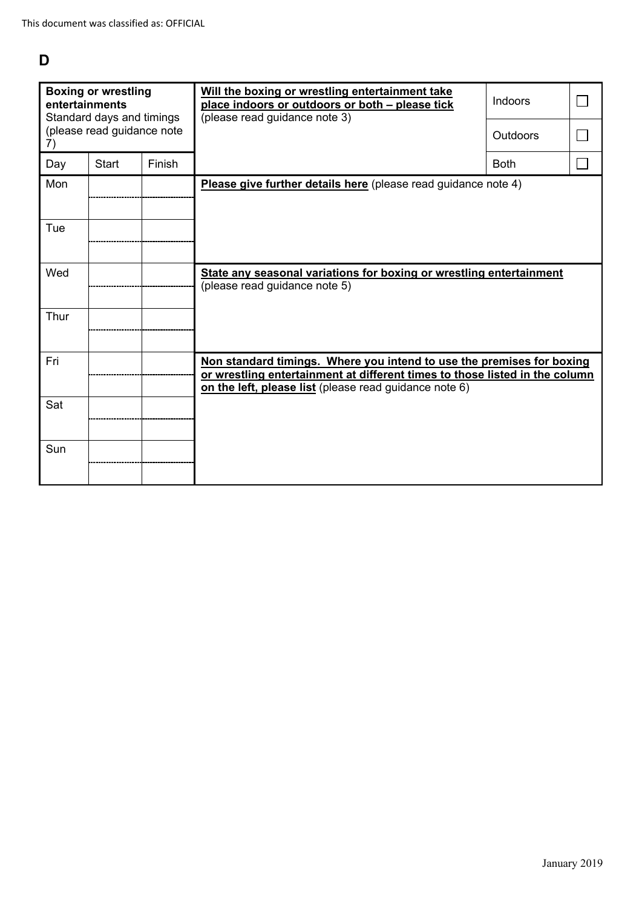# **D**

| <b>Boxing or wrestling</b><br>entertainments<br>Standard days and timings |       |        | Will the boxing or wrestling entertainment take<br>place indoors or outdoors or both - please tick<br>(please read guidance note 3)                                                                            | Indoors         |  |
|---------------------------------------------------------------------------|-------|--------|----------------------------------------------------------------------------------------------------------------------------------------------------------------------------------------------------------------|-----------------|--|
| (please read guidance note<br>7)                                          |       |        |                                                                                                                                                                                                                | <b>Outdoors</b> |  |
| Day                                                                       | Start | Finish |                                                                                                                                                                                                                | <b>Both</b>     |  |
| Mon                                                                       |       |        | Please give further details here (please read guidance note 4)                                                                                                                                                 |                 |  |
| Tue                                                                       |       |        |                                                                                                                                                                                                                |                 |  |
| Wed                                                                       |       |        | State any seasonal variations for boxing or wrestling entertainment<br>(please read guidance note 5)                                                                                                           |                 |  |
| Thur                                                                      |       |        |                                                                                                                                                                                                                |                 |  |
| Fri                                                                       |       |        | Non standard timings. Where you intend to use the premises for boxing<br>or wrestling entertainment at different times to those listed in the column<br>on the left, please list (please read guidance note 6) |                 |  |
| Sat                                                                       |       |        |                                                                                                                                                                                                                |                 |  |
| Sun                                                                       |       |        |                                                                                                                                                                                                                |                 |  |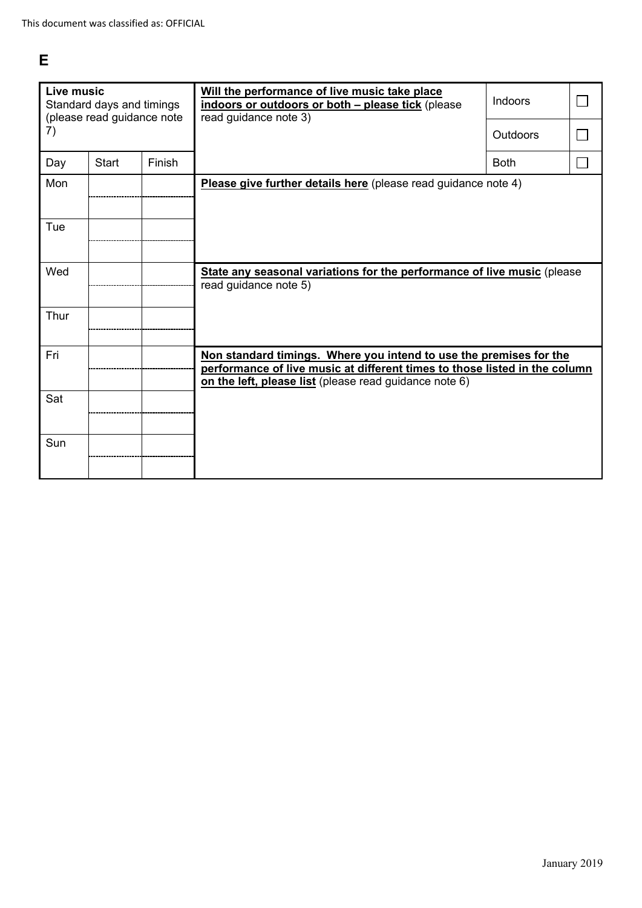# **E**

|      | Live music<br>Standard days and timings<br>(please read guidance note |        | Will the performance of live music take place<br>indoors or outdoors or both - please tick (please<br>read guidance note 3)                                                                                | Indoors     |              |
|------|-----------------------------------------------------------------------|--------|------------------------------------------------------------------------------------------------------------------------------------------------------------------------------------------------------------|-------------|--------------|
| 7)   |                                                                       |        |                                                                                                                                                                                                            | Outdoors    | $\mathbf{L}$ |
| Day  | <b>Start</b>                                                          | Finish |                                                                                                                                                                                                            | <b>Both</b> |              |
| Mon  |                                                                       |        | Please give further details here (please read guidance note 4)                                                                                                                                             |             |              |
| Tue  |                                                                       |        |                                                                                                                                                                                                            |             |              |
| Wed  |                                                                       |        | State any seasonal variations for the performance of live music (please<br>read guidance note 5)                                                                                                           |             |              |
| Thur |                                                                       |        |                                                                                                                                                                                                            |             |              |
| Fri  |                                                                       |        | Non standard timings. Where you intend to use the premises for the<br>performance of live music at different times to those listed in the column<br>on the left, please list (please read guidance note 6) |             |              |
| Sat  |                                                                       |        |                                                                                                                                                                                                            |             |              |
| Sun  |                                                                       |        |                                                                                                                                                                                                            |             |              |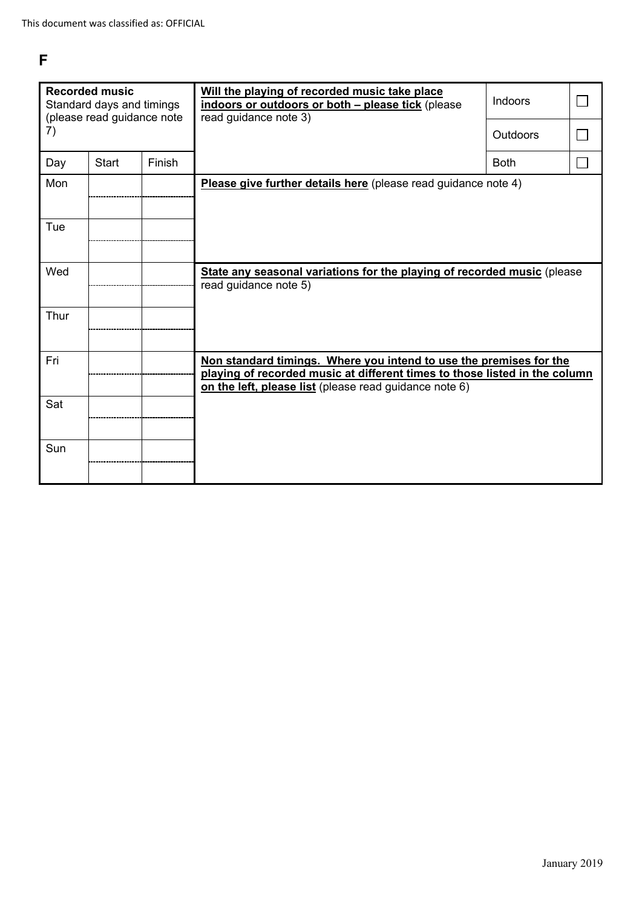# **F**

| <b>Recorded music</b><br>Standard days and timings<br>(please read guidance note |              |        | Will the playing of recorded music take place<br>indoors or outdoors or both - please tick (please<br>read guidance note 3)                                                                                | Indoors         |  |
|----------------------------------------------------------------------------------|--------------|--------|------------------------------------------------------------------------------------------------------------------------------------------------------------------------------------------------------------|-----------------|--|
| 7)                                                                               |              |        |                                                                                                                                                                                                            | <b>Outdoors</b> |  |
| Day                                                                              | <b>Start</b> | Finish |                                                                                                                                                                                                            | <b>Both</b>     |  |
| Mon                                                                              |              |        | Please give further details here (please read guidance note 4)                                                                                                                                             |                 |  |
| Tue                                                                              |              |        |                                                                                                                                                                                                            |                 |  |
| Wed                                                                              |              |        | State any seasonal variations for the playing of recorded music (please<br>read guidance note 5)                                                                                                           |                 |  |
| Thur                                                                             |              |        |                                                                                                                                                                                                            |                 |  |
| Fri                                                                              |              |        | Non standard timings. Where you intend to use the premises for the<br>playing of recorded music at different times to those listed in the column<br>on the left, please list (please read guidance note 6) |                 |  |
| Sat                                                                              |              |        |                                                                                                                                                                                                            |                 |  |
| Sun                                                                              |              |        |                                                                                                                                                                                                            |                 |  |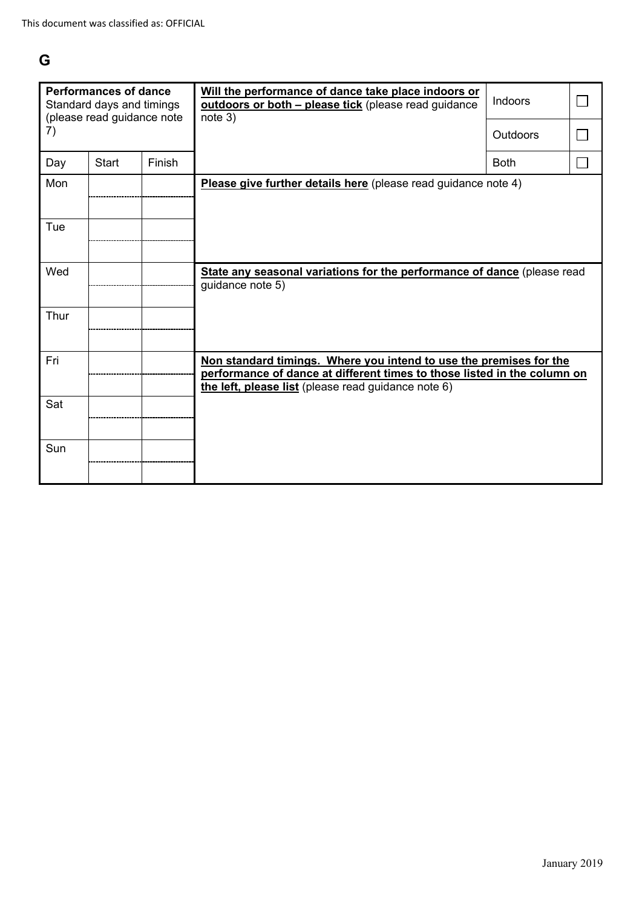# **G**

| <b>Performances of dance</b><br>Standard days and timings<br>(please read guidance note |              |        | Will the performance of dance take place indoors or<br>outdoors or both - please tick (please read guidance<br>note 3)                                                                                | Indoors     |  |
|-----------------------------------------------------------------------------------------|--------------|--------|-------------------------------------------------------------------------------------------------------------------------------------------------------------------------------------------------------|-------------|--|
| 7)                                                                                      |              |        |                                                                                                                                                                                                       | Outdoors    |  |
| Day                                                                                     | <b>Start</b> | Finish |                                                                                                                                                                                                       | <b>Both</b> |  |
| Mon                                                                                     |              |        | Please give further details here (please read guidance note 4)                                                                                                                                        |             |  |
| Tue                                                                                     |              |        |                                                                                                                                                                                                       |             |  |
| Wed                                                                                     |              |        | State any seasonal variations for the performance of dance (please read<br>guidance note 5)                                                                                                           |             |  |
| Thur                                                                                    |              |        |                                                                                                                                                                                                       |             |  |
| Fri                                                                                     |              |        | Non standard timings. Where you intend to use the premises for the<br>performance of dance at different times to those listed in the column on<br>the left, please list (please read guidance note 6) |             |  |
| Sat                                                                                     |              |        |                                                                                                                                                                                                       |             |  |
| Sun                                                                                     |              |        |                                                                                                                                                                                                       |             |  |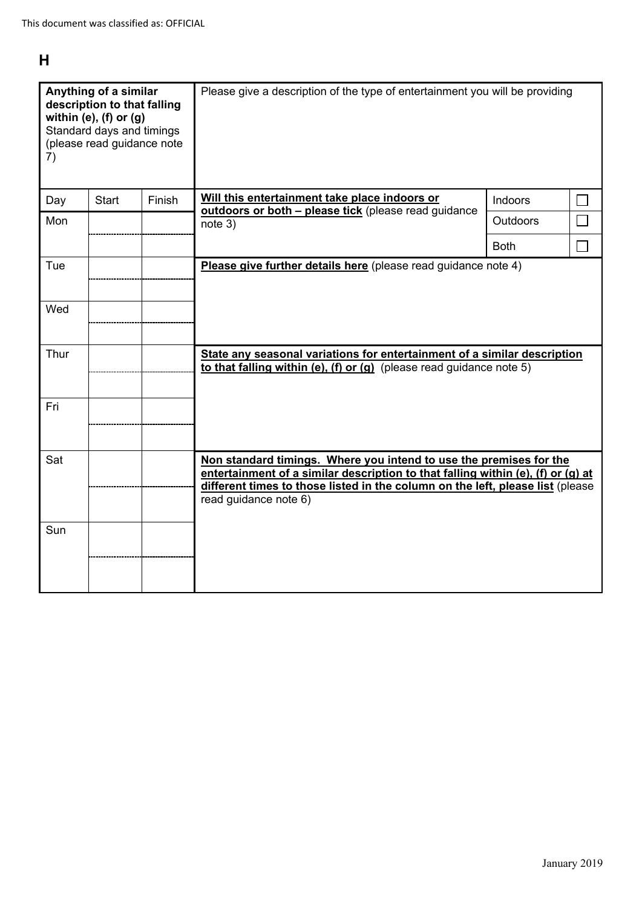# **H**

| 7)   | Anything of a similar<br>description to that falling<br>within (e), (f) or $(g)$<br>Standard days and timings<br>(please read guidance note |        | Please give a description of the type of entertainment you will be providing                                                                                                                                                                                      |                 |  |
|------|---------------------------------------------------------------------------------------------------------------------------------------------|--------|-------------------------------------------------------------------------------------------------------------------------------------------------------------------------------------------------------------------------------------------------------------------|-----------------|--|
| Day  | <b>Start</b>                                                                                                                                | Finish | Will this entertainment take place indoors or<br>outdoors or both - please tick (please read guidance                                                                                                                                                             | Indoors         |  |
| Mon  |                                                                                                                                             |        | note 3)                                                                                                                                                                                                                                                           | <b>Outdoors</b> |  |
|      |                                                                                                                                             |        |                                                                                                                                                                                                                                                                   | <b>Both</b>     |  |
| Tue  |                                                                                                                                             |        | Please give further details here (please read guidance note 4)                                                                                                                                                                                                    |                 |  |
| Wed  |                                                                                                                                             |        |                                                                                                                                                                                                                                                                   |                 |  |
| Thur |                                                                                                                                             |        | State any seasonal variations for entertainment of a similar description<br>to that falling within (e), (f) or (g) (please read guidance note $5$ )                                                                                                               |                 |  |
| Fri  |                                                                                                                                             |        |                                                                                                                                                                                                                                                                   |                 |  |
| Sat  |                                                                                                                                             |        | Non standard timings. Where you intend to use the premises for the<br>entertainment of a similar description to that falling within (e), (f) or (g) at<br>different times to those listed in the column on the left, please list (please<br>read guidance note 6) |                 |  |
| Sun  |                                                                                                                                             |        |                                                                                                                                                                                                                                                                   |                 |  |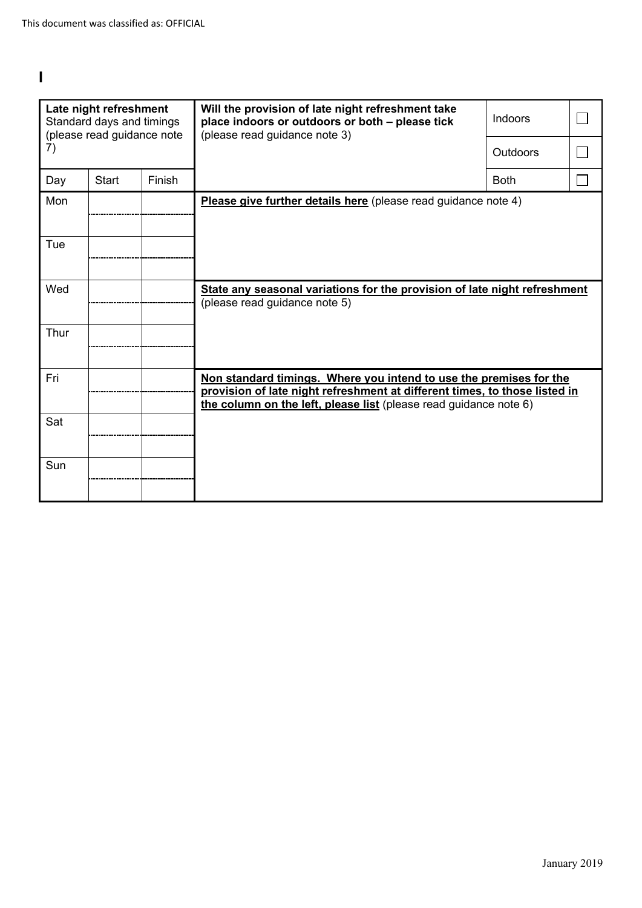**I**

| Late night refreshment<br>Standard days and timings<br>(please read guidance note |              |        | Will the provision of late night refreshment take<br>place indoors or outdoors or both - please tick<br>(please read guidance note 3)                                                                                 | Indoors     |  |
|-----------------------------------------------------------------------------------|--------------|--------|-----------------------------------------------------------------------------------------------------------------------------------------------------------------------------------------------------------------------|-------------|--|
| 7)                                                                                |              |        |                                                                                                                                                                                                                       | Outdoors    |  |
| Day                                                                               | <b>Start</b> | Finish |                                                                                                                                                                                                                       | <b>Both</b> |  |
| Mon                                                                               |              |        | Please give further details here (please read guidance note 4)                                                                                                                                                        |             |  |
| Tue                                                                               |              |        |                                                                                                                                                                                                                       |             |  |
| Wed                                                                               |              |        | State any seasonal variations for the provision of late night refreshment<br>(please read guidance note 5)                                                                                                            |             |  |
| Thur                                                                              |              |        |                                                                                                                                                                                                                       |             |  |
| Fri                                                                               |              |        | Non standard timings. Where you intend to use the premises for the<br>provision of late night refreshment at different times, to those listed in<br>the column on the left, please list (please read guidance note 6) |             |  |
| Sat                                                                               |              |        |                                                                                                                                                                                                                       |             |  |
| Sun                                                                               |              |        |                                                                                                                                                                                                                       |             |  |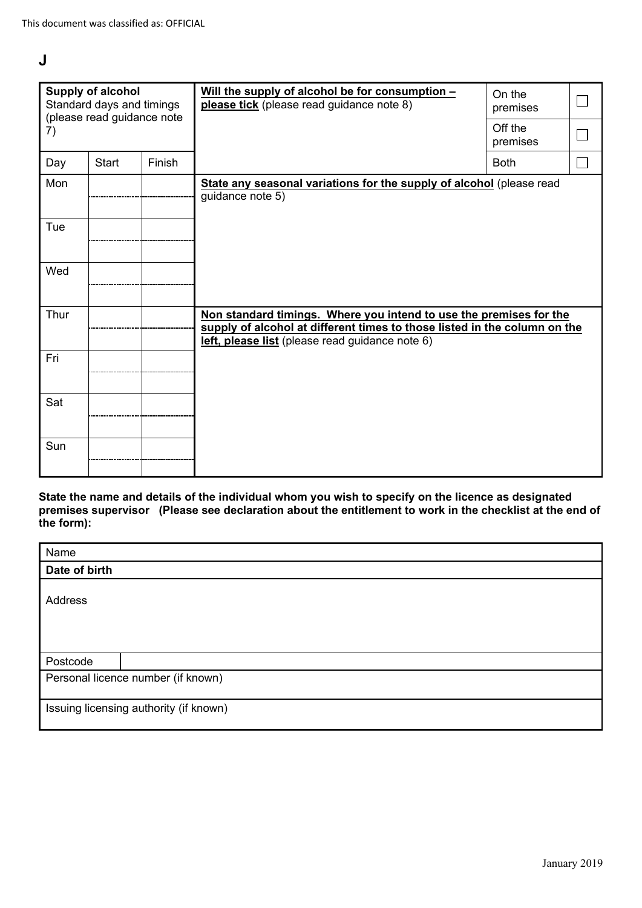**J**

| <b>Supply of alcohol</b><br>Standard days and timings<br>(please read guidance note |              |        | Will the supply of alcohol be for consumption -<br>please tick (please read guidance note 8)                                                                                                       | On the<br>premises  | $\Box$       |
|-------------------------------------------------------------------------------------|--------------|--------|----------------------------------------------------------------------------------------------------------------------------------------------------------------------------------------------------|---------------------|--------------|
| 7)                                                                                  |              |        |                                                                                                                                                                                                    | Off the<br>premises | $\Box$       |
| Day                                                                                 | <b>Start</b> | Finish |                                                                                                                                                                                                    | <b>Both</b>         | $\mathbf{L}$ |
| Mon                                                                                 |              |        | State any seasonal variations for the supply of alcohol (please read<br>guidance note 5)                                                                                                           |                     |              |
| Tue                                                                                 |              |        |                                                                                                                                                                                                    |                     |              |
| Wed                                                                                 |              |        |                                                                                                                                                                                                    |                     |              |
| Thur                                                                                |              |        | Non standard timings. Where you intend to use the premises for the<br>supply of alcohol at different times to those listed in the column on the<br>left, please list (please read guidance note 6) |                     |              |
| Fri                                                                                 |              |        |                                                                                                                                                                                                    |                     |              |
| Sat                                                                                 |              |        |                                                                                                                                                                                                    |                     |              |
| Sun                                                                                 |              |        |                                                                                                                                                                                                    |                     |              |

**State the name and details of the individual whom you wish to specify on the licence as designated premises supervisor (Please see declaration about the entitlement to work in the checklist at the end of the form):**

|                                        | Name          |  |  |  |
|----------------------------------------|---------------|--|--|--|
|                                        | Date of birth |  |  |  |
|                                        | Address       |  |  |  |
|                                        | Postcode      |  |  |  |
| Personal licence number (if known)     |               |  |  |  |
| Issuing licensing authority (if known) |               |  |  |  |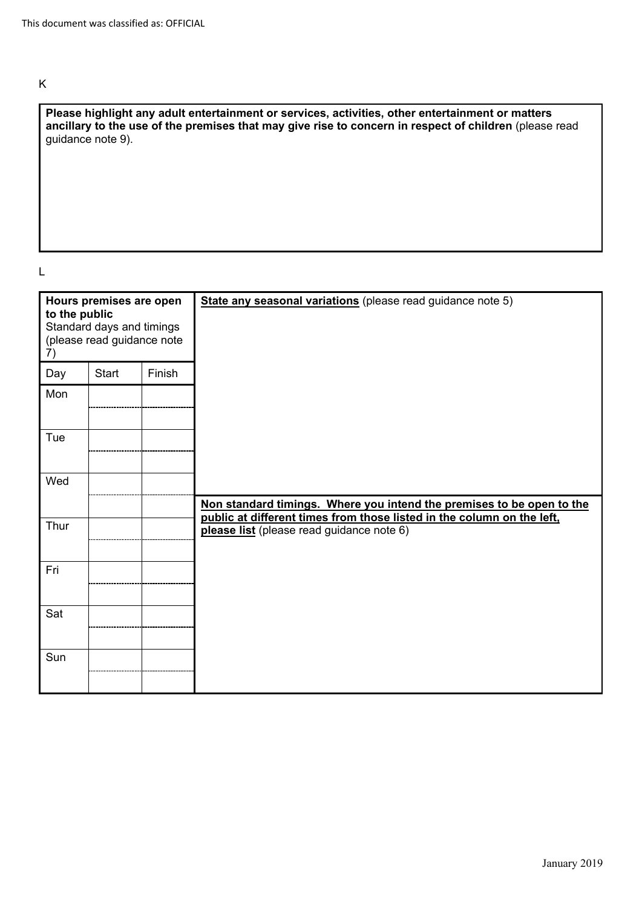### K

| Please highlight any adult entertainment or services, activities, other entertainment or matters       |  |
|--------------------------------------------------------------------------------------------------------|--|
| ancillary to the use of the premises that may give rise to concern in respect of children (please read |  |
| guidance note 9).                                                                                      |  |

L

| Hours premises are open<br>to the public<br>Standard days and timings<br>(please read guidance note<br>7) |              |        | State any seasonal variations (please read guidance note 5)                                                                                     |
|-----------------------------------------------------------------------------------------------------------|--------------|--------|-------------------------------------------------------------------------------------------------------------------------------------------------|
| Day                                                                                                       | <b>Start</b> | Finish |                                                                                                                                                 |
| Mon                                                                                                       |              |        |                                                                                                                                                 |
| Tue                                                                                                       |              |        |                                                                                                                                                 |
| Wed                                                                                                       |              |        |                                                                                                                                                 |
|                                                                                                           |              |        | Non standard timings. Where you intend the premises to be open to the<br>public at different times from those listed in the column on the left, |
| Thur                                                                                                      |              |        | please list (please read guidance note 6)                                                                                                       |
| Fri                                                                                                       |              |        |                                                                                                                                                 |
| Sat                                                                                                       |              |        |                                                                                                                                                 |
| Sun                                                                                                       |              |        |                                                                                                                                                 |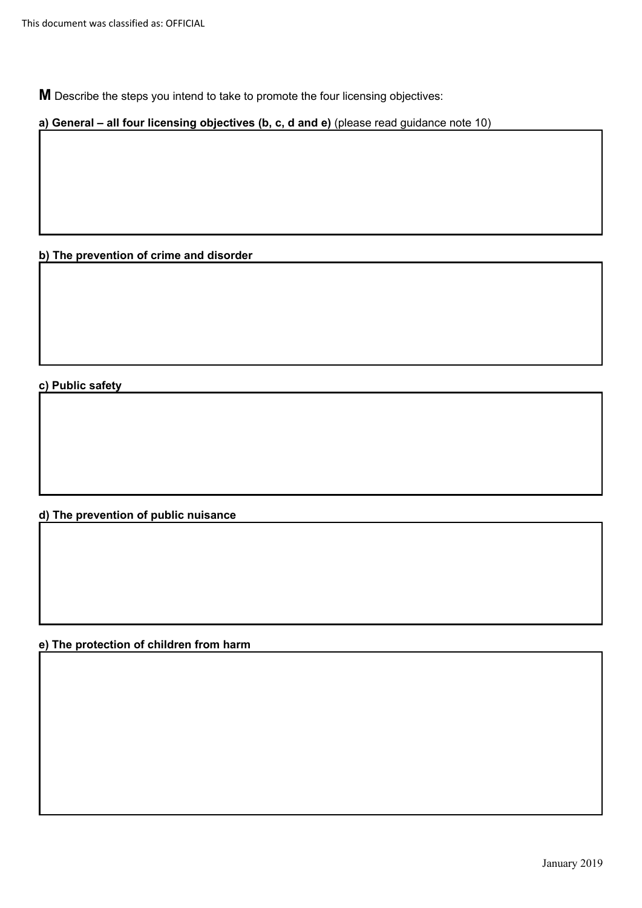**M** Describe the steps you intend to take to promote the four licensing objectives:

**a) General – all four licensing objectives (b, c, d and e)** (please read guidance note 10)

**b) The prevention of crime and disorder**

**c) Public safety**

**d) The prevention of public nuisance**

**e) The protection of children from harm**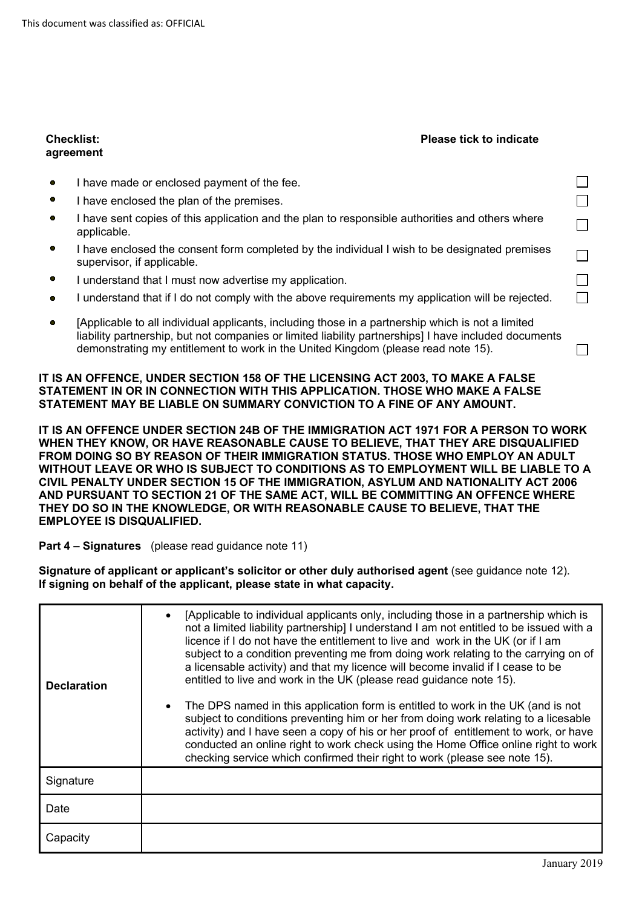# **agreement**

#### **Checklist: Please tick to indicate**

| $\bullet$ | I have made or enclosed payment of the fee.                                                                                                                                                                                                                                                    |                 |
|-----------|------------------------------------------------------------------------------------------------------------------------------------------------------------------------------------------------------------------------------------------------------------------------------------------------|-----------------|
| $\bullet$ | I have enclosed the plan of the premises.                                                                                                                                                                                                                                                      | $\Box$          |
| $\bullet$ | I have sent copies of this application and the plan to responsible authorities and others where<br>applicable.                                                                                                                                                                                 |                 |
| $\bullet$ | I have enclosed the consent form completed by the individual I wish to be designated premises<br>supervisor, if applicable.                                                                                                                                                                    |                 |
| $\bullet$ | I understand that I must now advertise my application.                                                                                                                                                                                                                                         |                 |
| $\bullet$ | I understand that if I do not comply with the above requirements my application will be rejected.                                                                                                                                                                                              | <b>Contract</b> |
| $\bullet$ | Applicable to all individual applicants, including those in a partnership which is not a limited<br>liability partnership, but not companies or limited liability partnerships] I have included documents<br>demonstrating my entitlement to work in the United Kingdom (please read note 15). |                 |

#### **IT IS AN OFFENCE, UNDER SECTION 158 OF THE LICENSING ACT 2003, TO MAKE A FALSE STATEMENT IN OR IN CONNECTION WITH THIS APPLICATION. THOSE WHO MAKE A FALSE STATEMENT MAY BE LIABLE ON SUMMARY CONVICTION TO A FINE OF ANY AMOUNT.**

**IT IS AN OFFENCE UNDER SECTION 24B OF THE IMMIGRATION ACT 1971 FOR A PERSON TO WORK WHEN THEY KNOW, OR HAVE REASONABLE CAUSE TO BELIEVE, THAT THEY ARE DISQUALIFIED FROM DOING SO BY REASON OF THEIR IMMIGRATION STATUS. THOSE WHO EMPLOY AN ADULT WITHOUT LEAVE OR WHO IS SUBJECT TO CONDITIONS AS TO EMPLOYMENT WILL BE LIABLE TO A CIVIL PENALTY UNDER SECTION 15 OF THE IMMIGRATION, ASYLUM AND NATIONALITY ACT 2006 AND PURSUANT TO SECTION 21 OF THE SAME ACT, WILL BE COMMITTING AN OFFENCE WHERE THEY DO SO IN THE KNOWLEDGE, OR WITH REASONABLE CAUSE TO BELIEVE, THAT THE EMPLOYEE IS DISQUALIFIED.** 

**Part 4 – Signatures** (please read guidance note 11)

**Signature of applicant or applicant's solicitor or other duly authorised agent** (see guidance note 12). **If signing on behalf of the applicant, please state in what capacity.** 

| <b>Declaration</b> | [Applicable to individual applicants only, including those in a partnership which is<br>not a limited liability partnership] I understand I am not entitled to be issued with a<br>licence if I do not have the entitlement to live and work in the UK (or if I am<br>subject to a condition preventing me from doing work relating to the carrying on of<br>a licensable activity) and that my licence will become invalid if I cease to be<br>entitled to live and work in the UK (please read guidance note 15). |
|--------------------|---------------------------------------------------------------------------------------------------------------------------------------------------------------------------------------------------------------------------------------------------------------------------------------------------------------------------------------------------------------------------------------------------------------------------------------------------------------------------------------------------------------------|
|                    | The DPS named in this application form is entitled to work in the UK (and is not<br>subject to conditions preventing him or her from doing work relating to a licesable<br>activity) and I have seen a copy of his or her proof of entitlement to work, or have<br>conducted an online right to work check using the Home Office online right to work<br>checking service which confirmed their right to work (please see note 15).                                                                                 |
| Signature          |                                                                                                                                                                                                                                                                                                                                                                                                                                                                                                                     |
| Date               |                                                                                                                                                                                                                                                                                                                                                                                                                                                                                                                     |
| Capacity           |                                                                                                                                                                                                                                                                                                                                                                                                                                                                                                                     |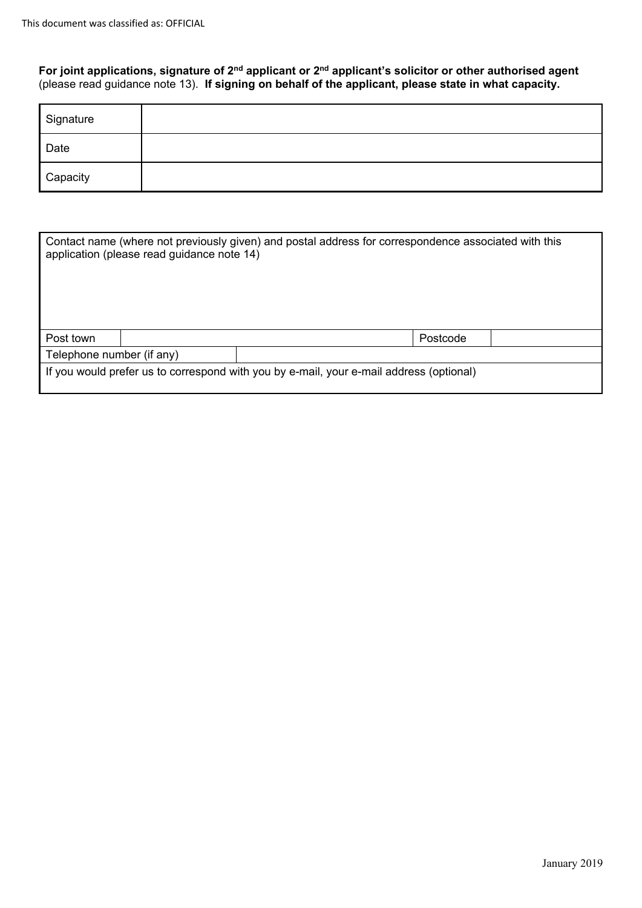**For joint applications, signature of 2nd applicant or 2nd applicant's solicitor or other authorised agent**  (please read guidance note 13). **If signing on behalf of the applicant, please state in what capacity.**

| Signature |  |
|-----------|--|
| Date      |  |
| Capacity  |  |

|                           | application (please read guidance note 14) | Contact name (where not previously given) and postal address for correspondence associated with this |  |
|---------------------------|--------------------------------------------|------------------------------------------------------------------------------------------------------|--|
| Post town                 |                                            | Postcode                                                                                             |  |
| Telephone number (if any) |                                            |                                                                                                      |  |
|                           |                                            | If you would prefer us to correspond with you by e-mail, your e-mail address (optional)              |  |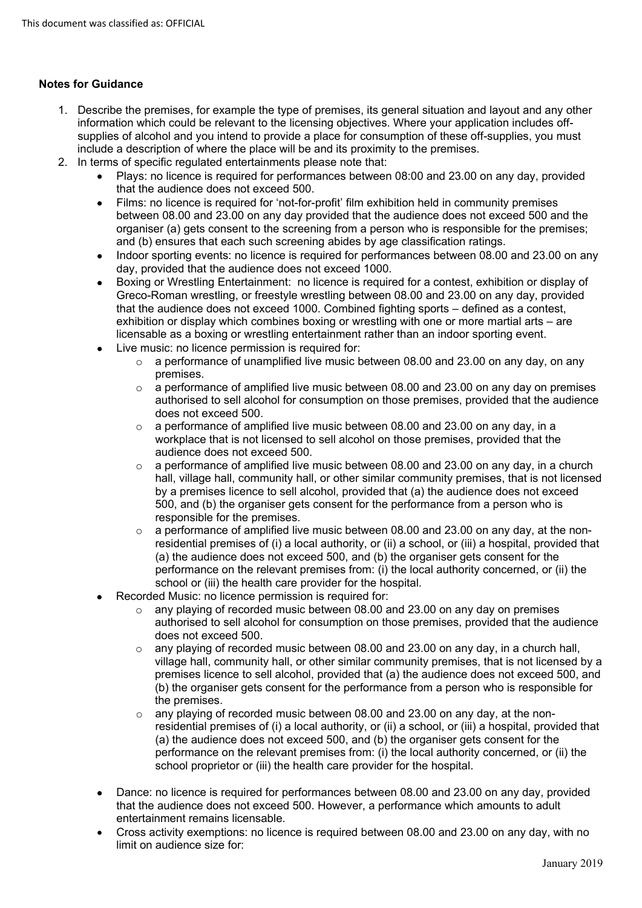### **Notes for Guidance**

- 1. Describe the premises, for example the type of premises, its general situation and layout and any other information which could be relevant to the licensing objectives. Where your application includes offsupplies of alcohol and you intend to provide a place for consumption of these off-supplies, you must include a description of where the place will be and its proximity to the premises.
- 2. In terms of specific regulated entertainments please note that:
	- Plays: no licence is required for performances between 08:00 and 23.00 on any day, provided that the audience does not exceed 500.
	- Films: no licence is required for 'not-for-profit' film exhibition held in community premises between 08.00 and 23.00 on any day provided that the audience does not exceed 500 and the organiser (a) gets consent to the screening from a person who is responsible for the premises; and (b) ensures that each such screening abides by age classification ratings.
	- Indoor sporting events: no licence is required for performances between 08.00 and 23.00 on any day, provided that the audience does not exceed 1000.
	- Boxing or Wrestling Entertainment: no licence is required for a contest, exhibition or display of Greco-Roman wrestling, or freestyle wrestling between 08.00 and 23.00 on any day, provided that the audience does not exceed 1000. Combined fighting sports – defined as a contest, exhibition or display which combines boxing or wrestling with one or more martial arts – are licensable as a boxing or wrestling entertainment rather than an indoor sporting event.
	- Live music: no licence permission is required for:
		- $\circ$  a performance of unamplified live music between 08.00 and 23.00 on any day, on any premises.
		- $\circ$  a performance of amplified live music between 08.00 and 23.00 on any day on premises authorised to sell alcohol for consumption on those premises, provided that the audience does not exceed 500.
		- $\circ$  a performance of amplified live music between 08.00 and 23.00 on any day, in a workplace that is not licensed to sell alcohol on those premises, provided that the audience does not exceed 500.
		- $\circ$  a performance of amplified live music between 08.00 and 23.00 on any day, in a church hall, village hall, community hall, or other similar community premises, that is not licensed by a premises licence to sell alcohol, provided that (a) the audience does not exceed 500, and (b) the organiser gets consent for the performance from a person who is responsible for the premises.
		- $\circ$  a performance of amplified live music between 08.00 and 23.00 on any day, at the nonresidential premises of (i) a local authority, or (ii) a school, or (iii) a hospital, provided that (a) the audience does not exceed 500, and (b) the organiser gets consent for the performance on the relevant premises from: (i) the local authority concerned, or (ii) the school or (iii) the health care provider for the hospital.
	- Recorded Music: no licence permission is required for:
		- $\circ$  any playing of recorded music between 08.00 and 23.00 on any day on premises authorised to sell alcohol for consumption on those premises, provided that the audience does not exceed 500.
		- $\circ$  any playing of recorded music between 08.00 and 23.00 on any day, in a church hall, village hall, community hall, or other similar community premises, that is not licensed by a premises licence to sell alcohol, provided that (a) the audience does not exceed 500, and (b) the organiser gets consent for the performance from a person who is responsible for the premises.
		- $\circ$  any playing of recorded music between 08.00 and 23.00 on any day, at the nonresidential premises of (i) a local authority, or (ii) a school, or (iii) a hospital, provided that (a) the audience does not exceed 500, and (b) the organiser gets consent for the performance on the relevant premises from: (i) the local authority concerned, or (ii) the school proprietor or (iii) the health care provider for the hospital.
	- Dance: no licence is required for performances between 08.00 and 23.00 on any day, provided that the audience does not exceed 500. However, a performance which amounts to adult entertainment remains licensable.
	- Cross activity exemptions: no licence is required between 08.00 and 23.00 on any day, with no limit on audience size for: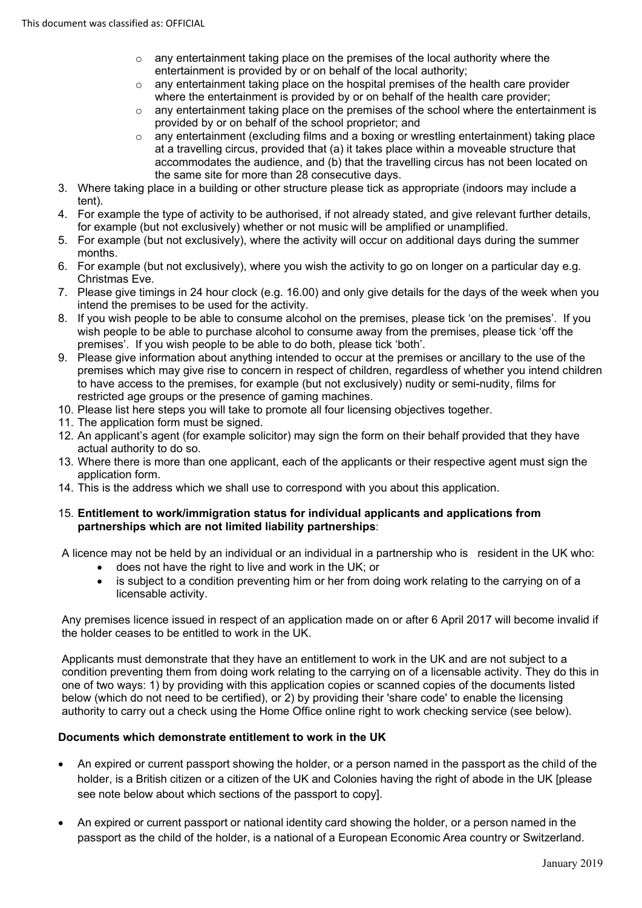- o any entertainment taking place on the premises of the local authority where the entertainment is provided by or on behalf of the local authority;
- o any entertainment taking place on the hospital premises of the health care provider where the entertainment is provided by or on behalf of the health care provider;
- o any entertainment taking place on the premises of the school where the entertainment is provided by or on behalf of the school proprietor; and
- o any entertainment (excluding films and a boxing or wrestling entertainment) taking place at a travelling circus, provided that (a) it takes place within a moveable structure that accommodates the audience, and (b) that the travelling circus has not been located on the same site for more than 28 consecutive days.
- 3. Where taking place in a building or other structure please tick as appropriate (indoors may include a tent).
- 4. For example the type of activity to be authorised, if not already stated, and give relevant further details, for example (but not exclusively) whether or not music will be amplified or unamplified.
- 5. For example (but not exclusively), where the activity will occur on additional days during the summer months.
- 6. For example (but not exclusively), where you wish the activity to go on longer on a particular day e.g. Christmas Eve.
- 7. Please give timings in 24 hour clock (e.g. 16.00) and only give details for the days of the week when you intend the premises to be used for the activity.
- 8. If you wish people to be able to consume alcohol on the premises, please tick 'on the premises'. If you wish people to be able to purchase alcohol to consume away from the premises, please tick 'off the premises'. If you wish people to be able to do both, please tick 'both'.
- 9. Please give information about anything intended to occur at the premises or ancillary to the use of the premises which may give rise to concern in respect of children, regardless of whether you intend children to have access to the premises, for example (but not exclusively) nudity or semi-nudity, films for restricted age groups or the presence of gaming machines.
- 10. Please list here steps you will take to promote all four licensing objectives together.
- 11. The application form must be signed.
- 12. An applicant's agent (for example solicitor) may sign the form on their behalf provided that they have actual authority to do so.
- 13. Where there is more than one applicant, each of the applicants or their respective agent must sign the application form.
- 14. This is the address which we shall use to correspond with you about this application.

#### 15. **Entitlement to work/immigration status for individual applicants and applications from partnerships which are not limited liability partnerships**:

A licence may not be held by an individual or an individual in a partnership who is resident in the UK who:

- does not have the right to live and work in the UK; or
- is subject to a condition preventing him or her from doing work relating to the carrying on of a licensable activity.

Any premises licence issued in respect of an application made on or after 6 April 2017 will become invalid if the holder ceases to be entitled to work in the UK.

Applicants must demonstrate that they have an entitlement to work in the UK and are not subject to a condition preventing them from doing work relating to the carrying on of a licensable activity. They do this in one of two ways: 1) by providing with this application copies or scanned copies of the documents listed below (which do not need to be certified), or 2) by providing their 'share code' to enable the licensing authority to carry out a check using the Home Office online right to work checking service (see below).

### **Documents which demonstrate entitlement to work in the UK**

- An expired or current passport showing the holder, or a person named in the passport as the child of the holder, is a British citizen or a citizen of the UK and Colonies having the right of abode in the UK [please see note below about which sections of the passport to copy].
- An expired or current passport or national identity card showing the holder, or a person named in the passport as the child of the holder, is a national of a European Economic Area country or Switzerland.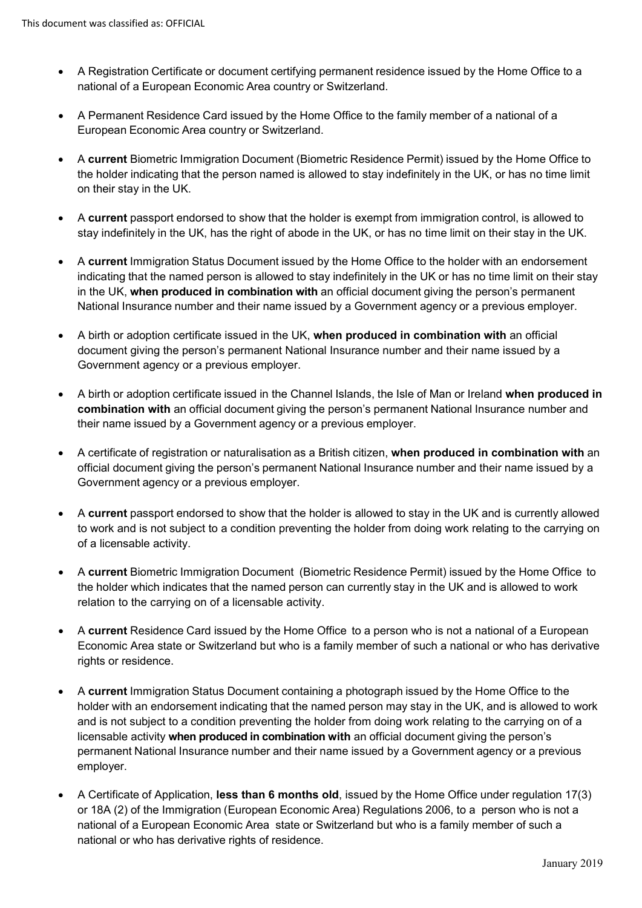- A Registration Certificate or document certifying permanent residence issued by the Home Office to a national of a European Economic Area country or Switzerland.
- A Permanent Residence Card issued by the Home Office to the family member of a national of a European Economic Area country or Switzerland.
- A **current** Biometric Immigration Document (Biometric Residence Permit) issued by the Home Office to the holder indicating that the person named is allowed to stay indefinitely in the UK, or has no time limit on their stay in the UK.
- A **current** passport endorsed to show that the holder is exempt from immigration control, is allowed to stay indefinitely in the UK, has the right of abode in the UK, or has no time limit on their stay in the UK.
- A **current** Immigration Status Document issued by the Home Office to the holder with an endorsement indicating that the named person is allowed to stay indefinitely in the UK or has no time limit on their stay in the UK, **when produced in combination with** an official document giving the person's permanent National Insurance number and their name issued by a Government agency or a previous employer.
- A birth or adoption certificate issued in the UK, **when produced in combination with** an official document giving the person's permanent National Insurance number and their name issued by a Government agency or a previous employer.
- A birth or adoption certificate issued in the Channel Islands, the Isle of Man or Ireland **when produced in combination with** an official document giving the person's permanent National Insurance number and their name issued by a Government agency or a previous employer.
- A certificate of registration or naturalisation as a British citizen, **when produced in combination with** an official document giving the person's permanent National Insurance number and their name issued by a Government agency or a previous employer.
- A **current** passport endorsed to show that the holder is allowed to stay in the UK and is currently allowed to work and is not subject to a condition preventing the holder from doing work relating to the carrying on of a licensable activity.
- A **current** Biometric Immigration Document (Biometric Residence Permit) issued by the Home Office to the holder which indicates that the named person can currently stay in the UK and is allowed to work relation to the carrying on of a licensable activity.
- A **current** Residence Card issued by the Home Office to a person who is not a national of a European Economic Area state or Switzerland but who is a family member of such a national or who has derivative rights or residence.
- A **current** Immigration Status Document containing a photograph issued by the Home Office to the holder with an endorsement indicating that the named person may stay in the UK, and is allowed to work and is not subject to a condition preventing the holder from doing work relating to the carrying on of a licensable activity **when produced in combination with** an official document giving the person's permanent National Insurance number and their name issued by a Government agency or a previous employer.
- A Certificate of Application, **less than 6 months old**, issued by the Home Office under regulation 17(3) or 18A (2) of the Immigration (European Economic Area) Regulations 2006, to a person who is not a national of a European Economic Area state or Switzerland but who is a family member of such a national or who has derivative rights of residence.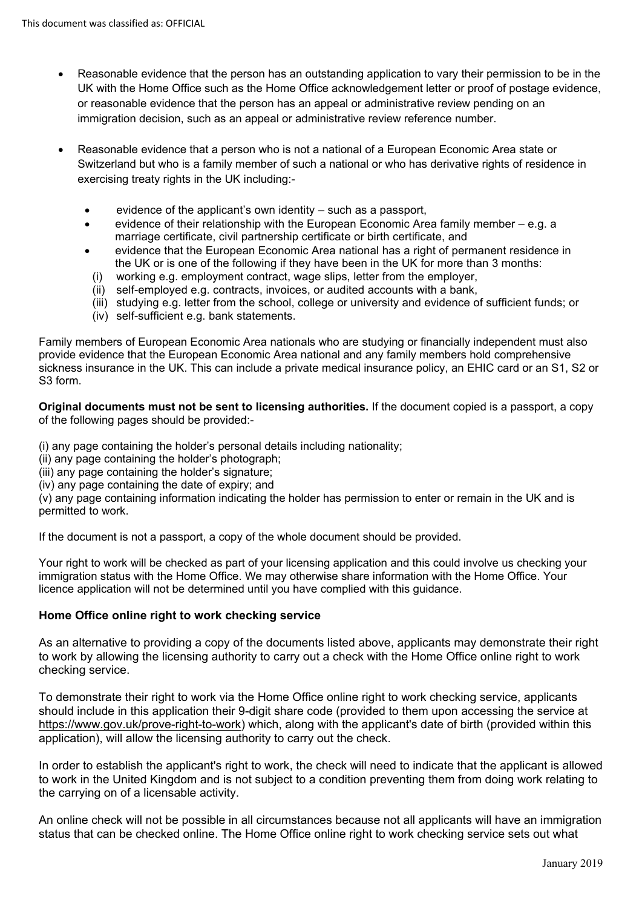- Reasonable evidence that the person has an outstanding application to vary their permission to be in the UK with the Home Office such as the Home Office acknowledgement letter or proof of postage evidence, or reasonable evidence that the person has an appeal or administrative review pending on an immigration decision, such as an appeal or administrative review reference number.
- Reasonable evidence that a person who is not a national of a European Economic Area state or Switzerland but who is a family member of such a national or who has derivative rights of residence in exercising treaty rights in the UK including:
	- evidence of the applicant's own identity such as a passport,
	- evidence of their relationship with the European Economic Area family member e.g. a marriage certificate, civil partnership certificate or birth certificate, and
	- evidence that the European Economic Area national has a right of permanent residence in the UK or is one of the following if they have been in the UK for more than 3 months:
	- (i) working e.g. employment contract, wage slips, letter from the employer,
	- (ii) self-employed e.g. contracts, invoices, or audited accounts with a bank,
	- (iii) studying e.g. letter from the school, college or university and evidence of sufficient funds; or
	- (iv) self-sufficient e.g. bank statements.

Family members of European Economic Area nationals who are studying or financially independent must also provide evidence that the European Economic Area national and any family members hold comprehensive sickness insurance in the UK. This can include a private medical insurance policy, an EHIC card or an S1, S2 or S3 form.

**Original documents must not be sent to licensing authorities.** If the document copied is a passport, a copy of the following pages should be provided:-

(i) any page containing the holder's personal details including nationality;

(ii) any page containing the holder's photograph;

(iii) any page containing the holder's signature;

(iv) any page containing the date of expiry; and

(v) any page containing information indicating the holder has permission to enter or remain in the UK and is permitted to work.

If the document is not a passport, a copy of the whole document should be provided.

Your right to work will be checked as part of your licensing application and this could involve us checking your immigration status with the Home Office. We may otherwise share information with the Home Office. Your licence application will not be determined until you have complied with this guidance.

#### **Home Office online right to work checking service**

As an alternative to providing a copy of the documents listed above, applicants may demonstrate their right to work by allowing the licensing authority to carry out a check with the Home Office online right to work checking service.

To demonstrate their right to work via the Home Office online right to work checking service, applicants should include in this application their 9-digit share code (provided to them upon accessing the service at https://www.gov.uk/prove-right-to-work) which, along with the applicant's date of birth (provided within this application), will allow the licensing authority to carry out the check.

In order to establish the applicant's right to work, the check will need to indicate that the applicant is allowed to work in the United Kingdom and is not subject to a condition preventing them from doing work relating to the carrying on of a licensable activity.

An online check will not be possible in all circumstances because not all applicants will have an immigration status that can be checked online. The Home Office online right to work checking service sets out what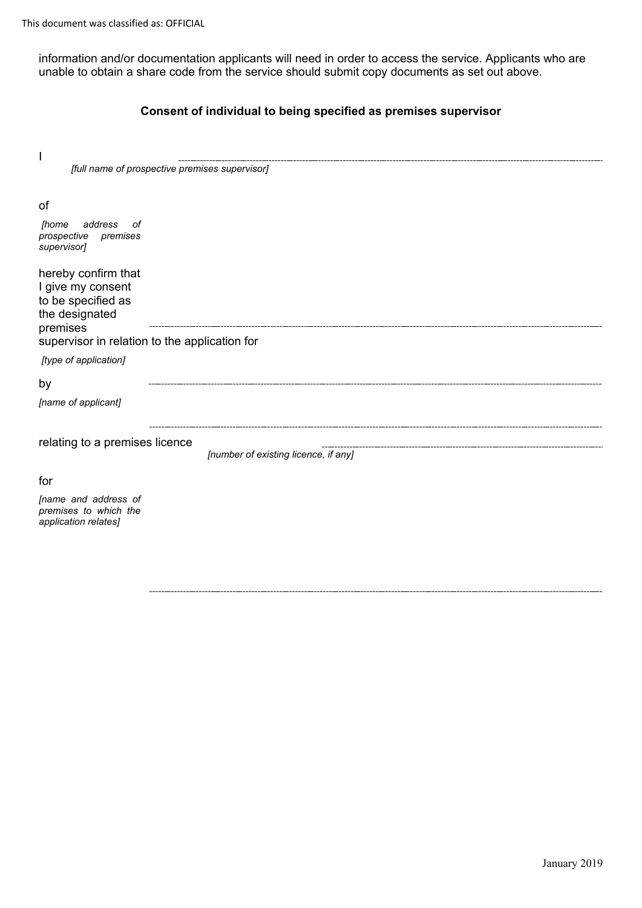information and/or documentation applicants will need in order to access the service. Applicants who are unable to obtain a share code from the service should submit copy documents as set out above.

### **Consent of individual to being specified as premises supervisor**

| [full name of prospective premises supervisor]                                               |                                      |
|----------------------------------------------------------------------------------------------|--------------------------------------|
| of                                                                                           |                                      |
| address<br><i>[home</i><br>оf<br>prospective<br>premises<br>supervisor]                      |                                      |
| hereby confirm that<br>I give my consent<br>to be specified as<br>the designated<br>premises |                                      |
| supervisor in relation to the application for                                                |                                      |
| [type of application]                                                                        |                                      |
| by                                                                                           |                                      |
| [name of applicant]                                                                          |                                      |
| relating to a premises licence                                                               | [number of existing licence, if any] |
| for                                                                                          |                                      |
| [name and address of<br>premises to which the<br>application relates]                        |                                      |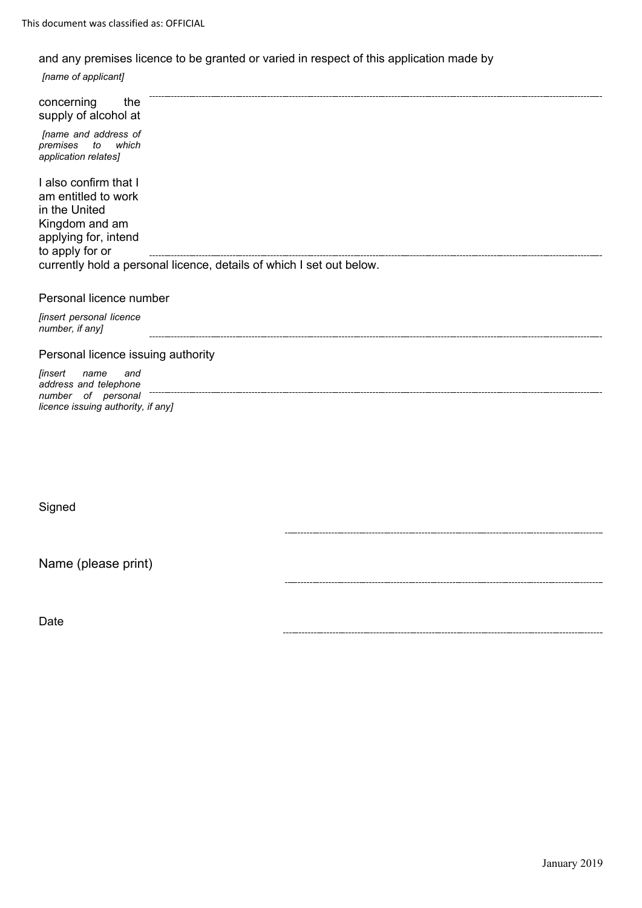### and any premises licence to be granted or varied in respect of this application made by

*[name of applicant]*

| concerning<br>the<br>supply of alcohol at                                                                                  |                                                                      |
|----------------------------------------------------------------------------------------------------------------------------|----------------------------------------------------------------------|
| [name and address of<br>premises<br>to<br>which<br>application relates]                                                    |                                                                      |
| I also confirm that I<br>am entitled to work<br>in the United<br>Kingdom and am<br>applying for, intend<br>to apply for or | currently hold a personal licence, details of which I set out below. |
| Personal licence number                                                                                                    |                                                                      |
| [insert personal licence<br>number, if any]                                                                                |                                                                      |
| Personal licence issuing authority                                                                                         |                                                                      |
| <i>linsert</i><br>name<br>and<br>address and telephone<br>number of personal<br>licence issuing authority, if any]         |                                                                      |

Signed

Name (please print)

Date